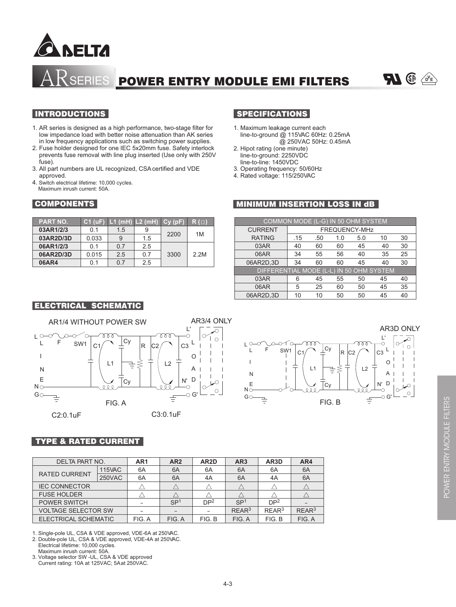

SERIES POWER ENTRY MODULE EMI FILTERS



#### INTRODUCTIONS

- 1. AR series is designed as a high performance, two-stage filter for low impedance load with better noise attenuation than AK series in low frequency applications such as switching power supplies.
- 2. Fuse holder designed for one IEC 5x20mm fuse. Safety interlock prevents fuse removal with line plug inserted (Use only with 250V fuse).
- 3. All part numbers are UL recognized, CSA certified and VDE approved.
- 4. Switch electrical lifetime: 10,000 cycles. Maximum inrush current: 50A.

## COMPONENTS

| <b>PART NO.</b> | C1 (uF) |     | $ L1$ (mH) $ L2$ (mH) $Cy$ (pF) |      | $R(\Omega)$ |
|-----------------|---------|-----|---------------------------------|------|-------------|
| 03AR1/2/3       | 0.1     | 1.5 |                                 | 2200 | 1M          |
| 03AR2D/3D       | 0.033   | 9   | 1.5                             |      |             |
| 06AR1/2/3       | 0.1     | 0.7 | 2.5                             |      |             |
| 06AR2D/3D       | 0.015   | 2.5 | 0.7                             | 3300 | 2.2M        |
| 06AR4           | 0.1     | 0.7 | 2.5                             |      |             |

# SPECIFICATIONS

- 1. Maximum leakage current each line-to-ground @ 115VAC 60Hz: 0.25mA @ 250VAC 50Hz: 0.45mA
- 2. Hipot rating (one minute) line-to-ground: 2250VDC line-to-line: 1450VDC
- 3. Operating frequency: 50/60Hz
- 4. Rated voltage: 115/250VAC

### MINIMUM INSERTION LOSS IN dB

| COMMON MODE (L-G) IN 50 OHM SYSTEM       |               |     |     |     |    |    |  |
|------------------------------------------|---------------|-----|-----|-----|----|----|--|
| <b>CURRENT</b>                           | FREQUENCY-MHz |     |     |     |    |    |  |
| <b>RATING</b>                            | .15           | .50 | 1.0 | 5.0 | 10 | 30 |  |
| 03AR                                     | 40            | 60  | 60  | 45  | 40 | 30 |  |
| 06AR                                     | 34            | 55  | 56  | 40  | 35 | 25 |  |
| 06AR2D.3D                                | 34            | 60  | 60  | 45  | 40 | 30 |  |
| DIFFERENTIAL MODE (L-L) IN 50 OHM SYSTEM |               |     |     |     |    |    |  |
| 03AR                                     | 6             | 45  | 55  | 50  | 45 | 40 |  |
| 06AR                                     | 5             | 25  | 60  | 50  | 45 | 35 |  |
| 06AR2D.3D                                | 10            | 10  | 50  | 50  | 45 | 40 |  |

# ELECTRICAL SCHEMATIC





#### TYPE & RATED CURRENT

| DELTA PART NO.             |               | AR <sub>1</sub> | AR <sub>2</sub> | AR <sub>2</sub> D | AR <sub>3</sub>   | AR <sub>3</sub> D | AR4      |
|----------------------------|---------------|-----------------|-----------------|-------------------|-------------------|-------------------|----------|
| <b>RATED CURRENT</b>       | <b>115VAC</b> | 6A              | 6A              | 6A                | 6A                | 6A                | 6A       |
|                            | 250VAC        | 6A              | 6A              | 4A                | 6A                | 4A                | 6A       |
| <b>IEC CONNECTOR</b>       |               |                 |                 |                   |                   |                   |          |
| <b>FUSE HOLDER</b>         |               |                 |                 |                   |                   |                   |          |
| POWER SWITCH               |               |                 | SP <sup>1</sup> | DP <sup>2</sup>   | SP <sup>1</sup>   | DP <sup>2</sup>   |          |
| <b>VOLTAGE SELECTOR SW</b> |               |                 |                 |                   | REAR <sup>3</sup> | $RFAR^3$          | $RFAR^3$ |
| ELECTRICAL SCHEMATIC       |               | FIG. A          | FIG. A          | FIG. B            | FIG. A            | FIG. B            | FIG. A   |

1. Single-pole UL, CSA & VDE approved, VDE-6A at 250VAC.

2. Double-pole UL, CSA & VDE approved, VDE-4A at 250VAC. Electrical lifetime: 10,000 cycles.

Maximum inrush current: 50A.

3. Voltage selector SW -UL, CSA & VDE approved Current rating: 10A at 125VAC; 5A at 250VAC.